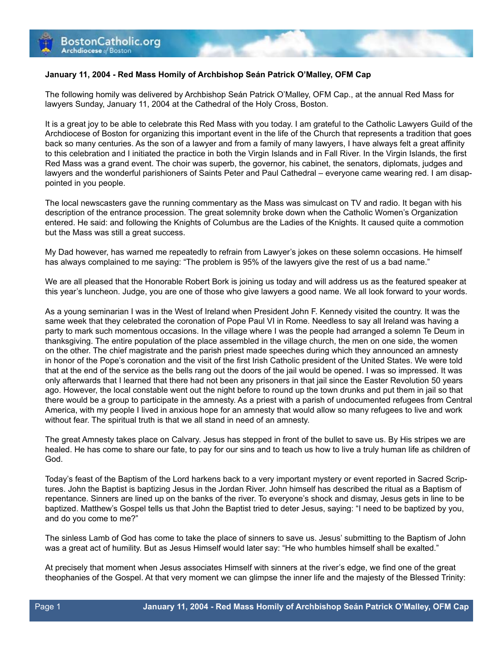## **January 11, 2004 - Red Mass Homily of Archbishop Seán Patrick O'Malley, OFM Cap**

The following homily was delivered by Archbishop Seán Patrick O'Malley, OFM Cap., at the annual Red Mass for lawyers Sunday, January 11, 2004 at the Cathedral of the Holy Cross, Boston.

It is a great joy to be able to celebrate this Red Mass with you today. I am grateful to the Catholic Lawyers Guild of the Archdiocese of Boston for organizing this important event in the life of the Church that represents a tradition that goes back so many centuries. As the son of a lawyer and from a family of many lawyers, I have always felt a great affinity to this celebration and I initiated the practice in both the Virgin Islands and in Fall River. In the Virgin Islands, the first Red Mass was a grand event. The choir was superb, the governor, his cabinet, the senators, diplomats, judges and lawyers and the wonderful parishioners of Saints Peter and Paul Cathedral – everyone came wearing red. I am disappointed in you people.

The local newscasters gave the running commentary as the Mass was simulcast on TV and radio. It began with his description of the entrance procession. The great solemnity broke down when the Catholic Women's Organization entered. He said: and following the Knights of Columbus are the Ladies of the Knights. It caused quite a commotion but the Mass was still a great success.

My Dad however, has warned me repeatedly to refrain from Lawyer's jokes on these solemn occasions. He himself has always complained to me saying: "The problem is 95% of the lawyers give the rest of us a bad name."

We are all pleased that the Honorable Robert Bork is joining us today and will address us as the featured speaker at this year's luncheon. Judge, you are one of those who give lawyers a good name. We all look forward to your words.

As a young seminarian I was in the West of Ireland when President John F. Kennedy visited the country. It was the same week that they celebrated the coronation of Pope Paul VI in Rome. Needless to say all Ireland was having a party to mark such momentous occasions. In the village where I was the people had arranged a solemn Te Deum in thanksgiving. The entire population of the place assembled in the village church, the men on one side, the women on the other. The chief magistrate and the parish priest made speeches during which they announced an amnesty in honor of the Pope's coronation and the visit of the first Irish Catholic president of the United States. We were told that at the end of the service as the bells rang out the doors of the jail would be opened. I was so impressed. It was only afterwards that I learned that there had not been any prisoners in that jail since the Easter Revolution 50 years ago. However, the local constable went out the night before to round up the town drunks and put them in jail so that there would be a group to participate in the amnesty. As a priest with a parish of undocumented refugees from Central America, with my people I lived in anxious hope for an amnesty that would allow so many refugees to live and work without fear. The spiritual truth is that we all stand in need of an amnesty.

The great Amnesty takes place on Calvary. Jesus has stepped in front of the bullet to save us. By His stripes we are healed. He has come to share our fate, to pay for our sins and to teach us how to live a truly human life as children of God.

Today's feast of the Baptism of the Lord harkens back to a very important mystery or event reported in Sacred Scriptures. John the Baptist is baptizing Jesus in the Jordan River. John himself has described the ritual as a Baptism of repentance. Sinners are lined up on the banks of the river. To everyone's shock and dismay, Jesus gets in line to be baptized. Matthew's Gospel tells us that John the Baptist tried to deter Jesus, saying: "I need to be baptized by you, and do you come to me?"

The sinless Lamb of God has come to take the place of sinners to save us. Jesus' submitting to the Baptism of John was a great act of humility. But as Jesus Himself would later say: "He who humbles himself shall be exalted."

At precisely that moment when Jesus associates Himself with sinners at the river's edge, we find one of the great theophanies of the Gospel. At that very moment we can glimpse the inner life and the majesty of the Blessed Trinity: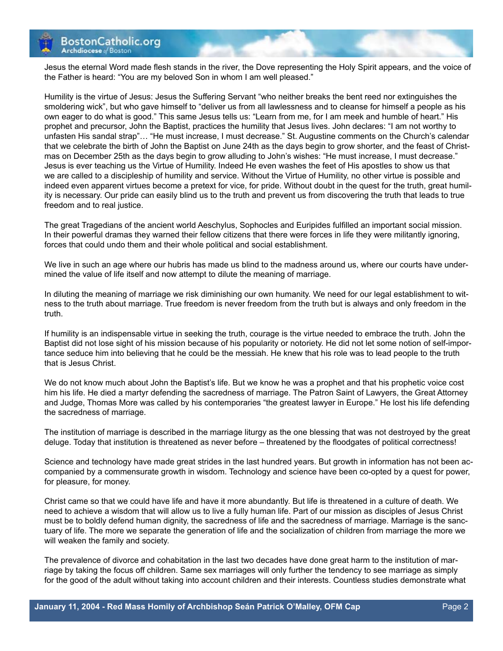

Jesus the eternal Word made flesh stands in the river, the Dove representing the Holy Spirit appears, and the voice of the Father is heard: "You are my beloved Son in whom I am well pleased."

Humility is the virtue of Jesus: Jesus the Suffering Servant "who neither breaks the bent reed nor extinguishes the smoldering wick", but who gave himself to "deliver us from all lawlessness and to cleanse for himself a people as his own eager to do what is good." This same Jesus tells us: "Learn from me, for I am meek and humble of heart." His prophet and precursor, John the Baptist, practices the humility that Jesus lives. John declares: "I am not worthy to unfasten His sandal strap"… "He must increase, I must decrease." St. Augustine comments on the Church's calendar that we celebrate the birth of John the Baptist on June 24th as the days begin to grow shorter, and the feast of Christmas on December 25th as the days begin to grow alluding to John's wishes: "He must increase, I must decrease." Jesus is ever teaching us the Virtue of Humility. Indeed He even washes the feet of His apostles to show us that we are called to a discipleship of humility and service. Without the Virtue of Humility, no other virtue is possible and indeed even apparent virtues become a pretext for vice, for pride. Without doubt in the quest for the truth, great humility is necessary. Our pride can easily blind us to the truth and prevent us from discovering the truth that leads to true freedom and to real justice.

The great Tragedians of the ancient world Aeschylus, Sophocles and Euripides fulfilled an important social mission. In their powerful dramas they warned their fellow citizens that there were forces in life they were militantly ignoring, forces that could undo them and their whole political and social establishment.

We live in such an age where our hubris has made us blind to the madness around us, where our courts have undermined the value of life itself and now attempt to dilute the meaning of marriage.

In diluting the meaning of marriage we risk diminishing our own humanity. We need for our legal establishment to witness to the truth about marriage. True freedom is never freedom from the truth but is always and only freedom in the truth.

If humility is an indispensable virtue in seeking the truth, courage is the virtue needed to embrace the truth. John the Baptist did not lose sight of his mission because of his popularity or notoriety. He did not let some notion of self-importance seduce him into believing that he could be the messiah. He knew that his role was to lead people to the truth that is Jesus Christ.

We do not know much about John the Baptist's life. But we know he was a prophet and that his prophetic voice cost him his life. He died a martyr defending the sacredness of marriage. The Patron Saint of Lawyers, the Great Attorney and Judge, Thomas More was called by his contemporaries "the greatest lawyer in Europe." He lost his life defending the sacredness of marriage.

The institution of marriage is described in the marriage liturgy as the one blessing that was not destroyed by the great deluge. Today that institution is threatened as never before – threatened by the floodgates of political correctness!

Science and technology have made great strides in the last hundred years. But growth in information has not been accompanied by a commensurate growth in wisdom. Technology and science have been co-opted by a quest for power, for pleasure, for money.

Christ came so that we could have life and have it more abundantly. But life is threatened in a culture of death. We need to achieve a wisdom that will allow us to live a fully human life. Part of our mission as disciples of Jesus Christ must be to boldly defend human dignity, the sacredness of life and the sacredness of marriage. Marriage is the sanctuary of life. The more we separate the generation of life and the socialization of children from marriage the more we will weaken the family and society.

The prevalence of divorce and cohabitation in the last two decades have done great harm to the institution of marriage by taking the focus off children. Same sex marriages will only further the tendency to see marriage as simply for the good of the adult without taking into account children and their interests. Countless studies demonstrate what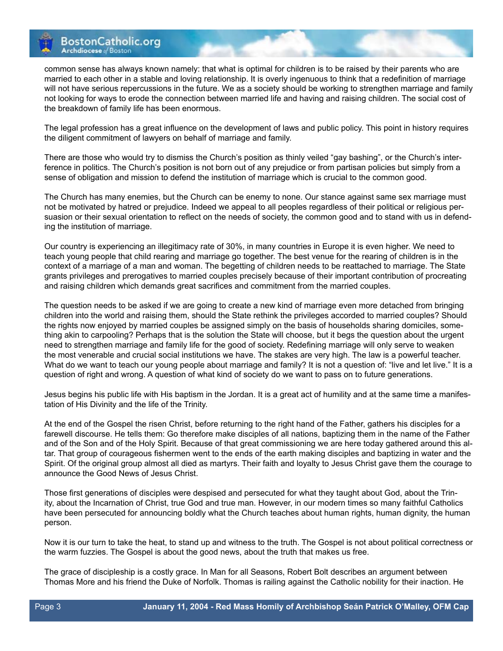

common sense has always known namely: that what is optimal for children is to be raised by their parents who are married to each other in a stable and loving relationship. It is overly ingenuous to think that a redefinition of marriage will not have serious repercussions in the future. We as a society should be working to strengthen marriage and family not looking for ways to erode the connection between married life and having and raising children. The social cost of the breakdown of family life has been enormous.

The legal profession has a great influence on the development of laws and public policy. This point in history requires the diligent commitment of lawyers on behalf of marriage and family.

There are those who would try to dismiss the Church's position as thinly veiled "gay bashing", or the Church's interference in politics. The Church's position is not born out of any prejudice or from partisan policies but simply from a sense of obligation and mission to defend the institution of marriage which is crucial to the common good.

The Church has many enemies, but the Church can be enemy to none. Our stance against same sex marriage must not be motivated by hatred or prejudice. Indeed we appeal to all peoples regardless of their political or religious persuasion or their sexual orientation to reflect on the needs of society, the common good and to stand with us in defending the institution of marriage.

Our country is experiencing an illegitimacy rate of 30%, in many countries in Europe it is even higher. We need to teach young people that child rearing and marriage go together. The best venue for the rearing of children is in the context of a marriage of a man and woman. The begetting of children needs to be reattached to marriage. The State grants privileges and prerogatives to married couples precisely because of their important contribution of procreating and raising children which demands great sacrifices and commitment from the married couples.

The question needs to be asked if we are going to create a new kind of marriage even more detached from bringing children into the world and raising them, should the State rethink the privileges accorded to married couples? Should the rights now enjoyed by married couples be assigned simply on the basis of households sharing domiciles, something akin to carpooling? Perhaps that is the solution the State will choose, but it begs the question about the urgent need to strengthen marriage and family life for the good of society. Redefining marriage will only serve to weaken the most venerable and crucial social institutions we have. The stakes are very high. The law is a powerful teacher. What do we want to teach our young people about marriage and family? It is not a question of: "live and let live." It is a question of right and wrong. A question of what kind of society do we want to pass on to future generations.

Jesus begins his public life with His baptism in the Jordan. It is a great act of humility and at the same time a manifestation of His Divinity and the life of the Trinity.

At the end of the Gospel the risen Christ, before returning to the right hand of the Father, gathers his disciples for a farewell discourse. He tells them: Go therefore make disciples of all nations, baptizing them in the name of the Father and of the Son and of the Holy Spirit. Because of that great commissioning we are here today gathered around this altar. That group of courageous fishermen went to the ends of the earth making disciples and baptizing in water and the Spirit. Of the original group almost all died as martyrs. Their faith and loyalty to Jesus Christ gave them the courage to announce the Good News of Jesus Christ.

Those first generations of disciples were despised and persecuted for what they taught about God, about the Trinity, about the Incarnation of Christ, true God and true man. However, in our modern times so many faithful Catholics have been persecuted for announcing boldly what the Church teaches about human rights, human dignity, the human person.

Now it is our turn to take the heat, to stand up and witness to the truth. The Gospel is not about political correctness or the warm fuzzies. The Gospel is about the good news, about the truth that makes us free.

The grace of discipleship is a costly grace. In Man for all Seasons, Robert Bolt describes an argument between Thomas More and his friend the Duke of Norfolk. Thomas is railing against the Catholic nobility for their inaction. He